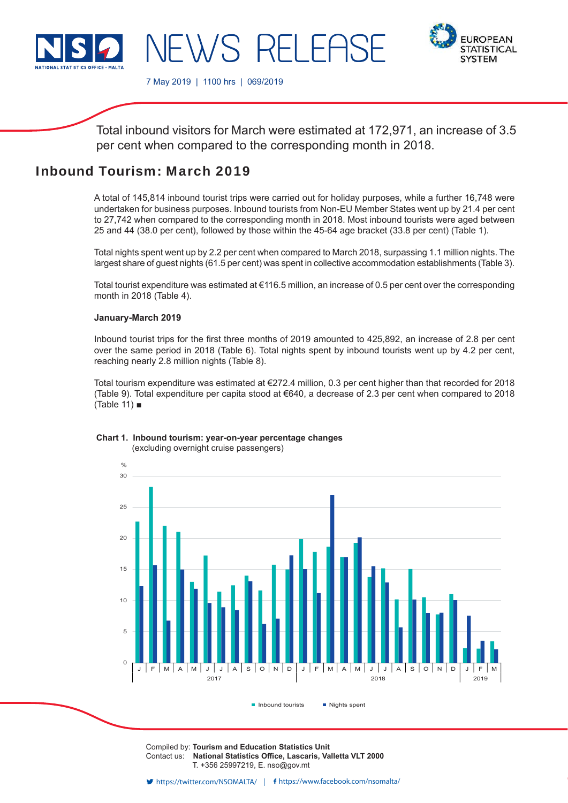

**EUROPEAN STATISTICAL SYSTEM** 

7 May 2019 | 1100 hrs | 069/2019

 $\lambda/S$ 

Total inbound visitors for March were estimated at 172,971, an increase of 3.5 per cent when compared to the corresponding month in 2018.

 $\overline{R}$ 

# Inbound Tourism: March 2019

A total of 145,814 inbound tourist trips were carried out for holiday purposes, while a further 16,748 were undertaken for business purposes. Inbound tourists from Non-EU Member States went up by 21.4 per cent to 27,742 when compared to the corresponding month in 2018. Most inbound tourists were aged between 25 and 44 (38.0 per cent), followed by those within the 45-64 age bracket (33.8 per cent) (Table 1).

Total nights spent went up by 2.2 per cent when compared to March 2018, surpassing 1.1 million nights. The largest share of guest nights (61.5 per cent) was spent in collective accommodation establishments (Table 3).

Total tourist expenditure was estimated at €116.5 million, an increase of 0.5 per cent over the corresponding month in 2018 (Table 4).

#### **January-March 2019**

Inbound tourist trips for the first three months of 2019 amounted to 425,892, an increase of 2.8 per cent over the same period in 2018 (Table 6). Total nights spent by inbound tourists went up by 4.2 per cent, reaching nearly 2.8 million nights (Table 8).

Total tourism expenditure was estimated at €272.4 million, 0.3 per cent higher than that recorded for 2018 (Table 9). Total expenditure per capita stood at €640, a decrease of 2.3 per cent when compared to 2018 (Table 11) ■



#### **Chart 1. Inbound tourism: year-on-year percentage changes** (excluding overnight cruise passengers)

Compiled by: **Tourism and Education Statistics Unit** Contact us: National Statistics Office, Lascaris, Valletta VLT 2000 T. +356 25997219, E. nso@gov.mt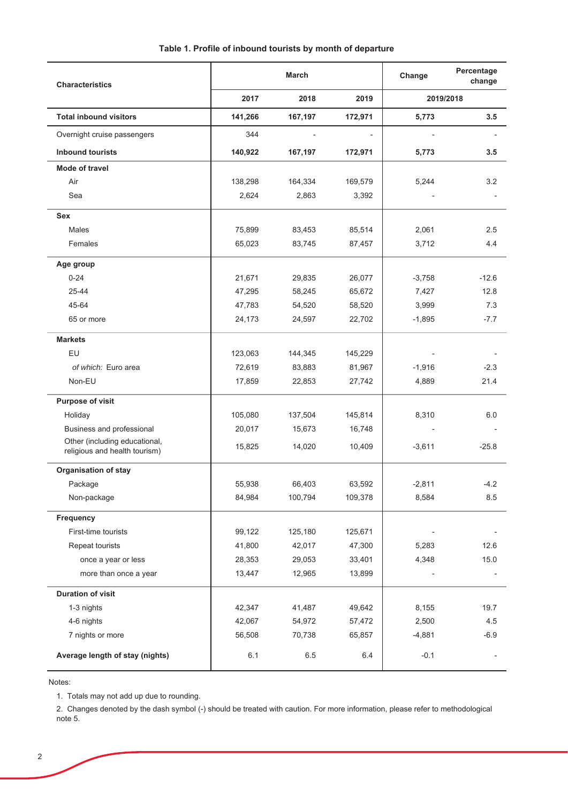| <b>Characteristics</b>                                         | <b>March</b> |         |         | Change    | Percentage<br>change |
|----------------------------------------------------------------|--------------|---------|---------|-----------|----------------------|
|                                                                | 2017         | 2018    | 2019    | 2019/2018 |                      |
| <b>Total inbound visitors</b>                                  | 141,266      | 167,197 | 172,971 | 5,773     | 3.5                  |
| Overnight cruise passengers                                    | 344          |         |         |           |                      |
| <b>Inbound tourists</b>                                        | 140,922      | 167,197 | 172,971 | 5,773     | 3.5                  |
| <b>Mode of travel</b>                                          |              |         |         |           |                      |
| Air                                                            | 138,298      | 164,334 | 169,579 | 5,244     | 3.2                  |
| Sea                                                            | 2,624        | 2,863   | 3,392   |           |                      |
| <b>Sex</b>                                                     |              |         |         |           |                      |
| <b>Males</b>                                                   | 75,899       | 83,453  | 85,514  | 2,061     | 2.5                  |
| Females                                                        | 65,023       | 83,745  | 87,457  | 3,712     | 4.4                  |
| Age group                                                      |              |         |         |           |                      |
| $0 - 24$                                                       | 21,671       | 29,835  | 26,077  | $-3,758$  | $-12.6$              |
| 25-44                                                          | 47,295       | 58,245  | 65,672  | 7,427     | 12.8                 |
| 45-64                                                          | 47,783       | 54,520  | 58,520  | 3,999     | 7.3                  |
| 65 or more                                                     | 24,173       | 24,597  | 22,702  | $-1,895$  | $-7.7$               |
| <b>Markets</b>                                                 |              |         |         |           |                      |
| EU                                                             | 123,063      | 144,345 | 145,229 |           |                      |
| of which: Euro area                                            | 72,619       | 83,883  | 81,967  | $-1,916$  | $-2.3$               |
| Non-EU                                                         | 17,859       | 22,853  | 27,742  | 4,889     | 21.4                 |
| Purpose of visit                                               |              |         |         |           |                      |
| Holiday                                                        | 105,080      | 137,504 | 145,814 | 8,310     | 6.0                  |
| Business and professional                                      | 20,017       | 15,673  | 16,748  |           |                      |
| Other (including educational,<br>religious and health tourism) | 15,825       | 14,020  | 10,409  | $-3,611$  | $-25.8$              |
| <b>Organisation of stay</b>                                    |              |         |         |           |                      |
| Package                                                        | 55,938       | 66,403  | 63,592  | $-2,811$  | $-4.2$               |
| Non-package                                                    | 84,984       | 100,794 | 109,378 | 8,584     | 8.5                  |
| Frequency                                                      |              |         |         |           |                      |
| First-time tourists                                            | 99,122       | 125,180 | 125,671 |           |                      |
| Repeat tourists                                                | 41,800       | 42,017  | 47,300  | 5,283     | 12.6                 |
| once a year or less                                            | 28,353       | 29,053  | 33,401  | 4,348     | 15.0                 |
| more than once a year                                          | 13,447       | 12,965  | 13,899  |           |                      |
| <b>Duration of visit</b>                                       |              |         |         |           |                      |
| 1-3 nights                                                     | 42,347       | 41,487  | 49,642  | 8,155     | 19.7                 |
| 4-6 nights                                                     | 42,067       | 54,972  | 57,472  | 2,500     | 4.5                  |
| 7 nights or more                                               | 56,508       | 70,738  | 65,857  | $-4,881$  | $-6.9$               |
| Average length of stay (nights)                                | 6.1          | 6.5     | 6.4     | $-0.1$    |                      |

Notes:

1. Totals may not add up due to rounding.

2. Changes denoted by the dash symbol (-) should be treated with caution. For more information, please refer to methodological note 5.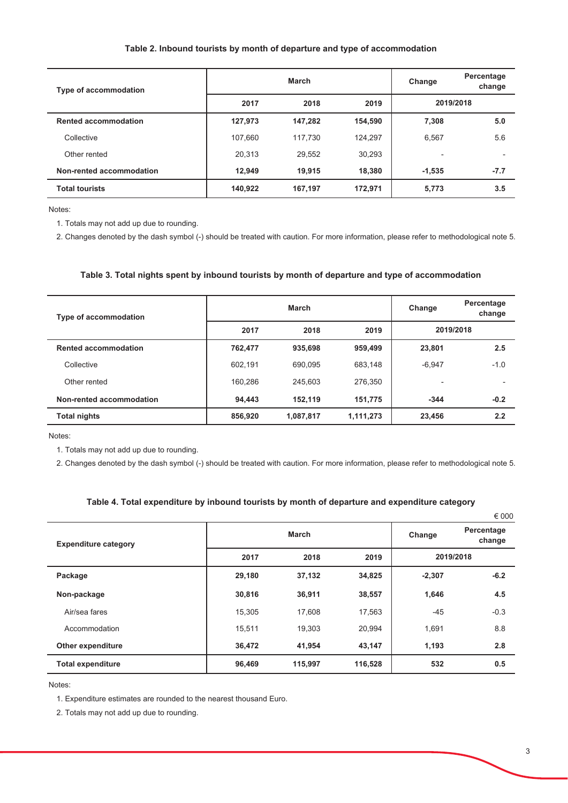#### Table 2. Inbound tourists by month of departure and type of accommodation

| Type of accommodation       |         | March   | Change  | Percentage<br>change     |        |
|-----------------------------|---------|---------|---------|--------------------------|--------|
|                             | 2017    | 2018    | 2019    | 2019/2018                |        |
| <b>Rented accommodation</b> | 127,973 | 147,282 | 154,590 | 7,308                    | 5.0    |
| Collective                  | 107,660 | 117,730 | 124,297 | 6,567                    | 5.6    |
| Other rented                | 20,313  | 29,552  | 30,293  | $\overline{\phantom{0}}$ |        |
| Non-rented accommodation    | 12,949  | 19,915  | 18,380  | $-1.535$                 | $-7.7$ |
| <b>Total tourists</b>       | 140,922 | 167,197 | 172,971 | 5,773                    | 3.5    |

Notes:

1. Totals may not add up due to rounding.

2. Changes denoted by the dash symbol (-) should be treated with caution. For more information, please refer to methodological note 5.

#### Table 3. Total nights spent by inbound tourists by month of departure and type of accommodation

| Type of accommodation       |         | March     | Change    | Percentage<br>change     |        |
|-----------------------------|---------|-----------|-----------|--------------------------|--------|
|                             | 2017    | 2018      | 2019      | 2019/2018                |        |
| <b>Rented accommodation</b> | 762,477 | 935,698   | 959,499   | 23.801                   | 2.5    |
| Collective                  | 602.191 | 690.095   | 683,148   | $-6.947$                 | $-1.0$ |
| Other rented                | 160.286 | 245.603   | 276,350   | $\overline{\phantom{0}}$ |        |
| Non-rented accommodation    | 94,443  | 152,119   | 151,775   | $-344$                   | $-0.2$ |
| <b>Total nights</b>         | 856,920 | 1,087,817 | 1,111,273 | 23,456                   | 2.2    |

Notes:

1. Totals may not add up due to rounding.

2. Changes denoted by the dash symbol (-) should be treated with caution. For more information, please refer to methodological note 5.

#### Table 4. Total expenditure by inbound tourists by month of departure and expenditure category

|                             |              |         |         |           | € 000                |
|-----------------------------|--------------|---------|---------|-----------|----------------------|
| <b>Expenditure category</b> | <b>March</b> |         |         | Change    | Percentage<br>change |
|                             | 2017         | 2018    | 2019    | 2019/2018 |                      |
| Package                     | 29,180       | 37,132  | 34,825  | $-2,307$  | $-6.2$               |
| Non-package                 | 30,816       | 36,911  | 38,557  | 1,646     | 4.5                  |
| Air/sea fares               | 15,305       | 17,608  | 17,563  | $-45$     | $-0.3$               |
| Accommodation               | 15,511       | 19,303  | 20,994  | 1,691     | 8.8                  |
| Other expenditure           | 36,472       | 41,954  | 43,147  | 1,193     | 2.8                  |
| <b>Total expenditure</b>    | 96,469       | 115,997 | 116,528 | 532       | 0.5                  |

Notes:

1. Expenditure estimates are rounded to the nearest thousand Euro.

2. Totals may not add up due to rounding.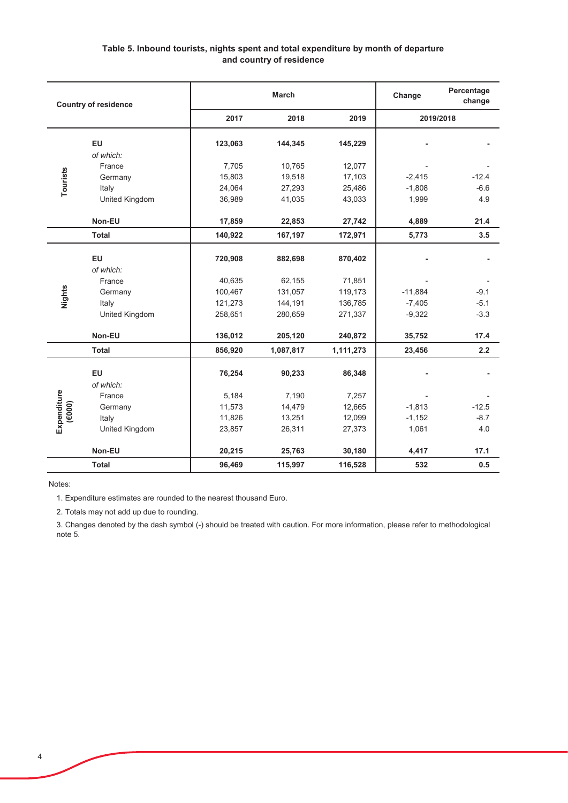### Table 5. Inbound tourists, nights spent and total expenditure by month of departure and country of residence

| <b>Country of residence</b> |                                                                                                                                |         | <b>March</b> |           | Change    | Percentage<br>change |
|-----------------------------|--------------------------------------------------------------------------------------------------------------------------------|---------|--------------|-----------|-----------|----------------------|
|                             |                                                                                                                                | 2017    | 2018         | 2019      |           | 2019/2018            |
|                             | EU                                                                                                                             | 123,063 | 144,345      | 145,229   |           |                      |
|                             | of which:                                                                                                                      |         |              |           |           |                      |
|                             | France                                                                                                                         | 7,705   | 10,765       | 12,077    |           |                      |
| Tourists                    | Germany                                                                                                                        | 15,803  | 19,518       | 17,103    | $-2,415$  | $-12.4$              |
|                             | Italy                                                                                                                          | 24,064  | 27,293       | 25,486    | $-1,808$  | $-6.6$               |
|                             | United Kingdom                                                                                                                 | 36,989  | 41,035       | 43,033    | 1,999     | 4.9                  |
|                             | Non-EU                                                                                                                         | 17,859  | 22,853       | 27,742    | 4,889     | 21.4                 |
|                             | <b>Total</b>                                                                                                                   | 140,922 | 167,197      | 172,971   | 5,773     | 3.5                  |
|                             | EU                                                                                                                             | 720,908 | 882,698      | 870,402   |           |                      |
|                             | of which:                                                                                                                      |         |              |           |           |                      |
|                             | France                                                                                                                         | 40,635  | 62,155       | 71,851    |           |                      |
|                             | Germany                                                                                                                        | 100,467 | 131,057      | 119,173   | $-11,884$ | $-9.1$               |
| Nights                      | Italy                                                                                                                          | 121,273 | 144,191      | 136,785   | $-7,405$  | $-5.1$               |
|                             | United Kingdom                                                                                                                 | 258,651 | 280,659      | 271,337   | $-9,322$  | $-3.3$               |
|                             | Non-EU                                                                                                                         | 136,012 | 205,120      | 240,872   | 35,752    | 17.4                 |
|                             | <b>Total</b>                                                                                                                   | 856,920 | 1,087,817    | 1,111,273 | 23,456    | 2.2                  |
|                             | EU                                                                                                                             | 76,254  | 90,233       | 86,348    |           |                      |
|                             | of which:                                                                                                                      |         |              |           |           |                      |
|                             | France                                                                                                                         | 5,184   | 7,190        | 7,257     |           |                      |
| Expenditure<br>(000)        | Germany                                                                                                                        | 11,573  | 14,479       | 12,665    | $-1,813$  | $-12.5$              |
|                             | Italy                                                                                                                          | 11,826  | 13,251       | 12,099    | $-1,152$  | $-8.7$               |
|                             | United Kingdom                                                                                                                 | 23,857  | 26,311       | 27,373    | 1,061     | 4.0                  |
|                             | Non-EU                                                                                                                         | 20,215  | 25,763       | 30,180    | 4,417     | 17.1                 |
|                             | <b>Total</b>                                                                                                                   | 96,469  | 115,997      | 116,528   | 532       | 0.5                  |
| Notes:                      |                                                                                                                                |         |              |           |           |                      |
|                             | 1. Expenditure estimates are rounded to the nearest thousand Euro.                                                             |         |              |           |           |                      |
|                             | 2. Totals may not add up due to rounding.                                                                                      |         |              |           |           |                      |
| note 5.                     | 3. Changes denoted by the dash symbol (-) should be treated with caution. For more information, please refer to methodological |         |              |           |           |                      |

3. Changes denoted by the dash symbol (-) should be treated with caution. For more information, please refer to methodological note 5.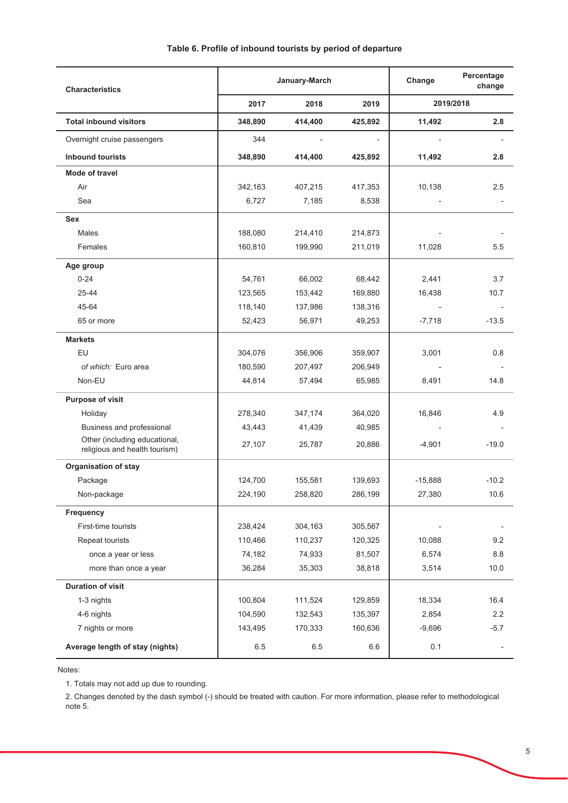| <b>Characteristics</b>                                         | January-March |         |         | Change    | Percentage<br>change     |
|----------------------------------------------------------------|---------------|---------|---------|-----------|--------------------------|
|                                                                | 2017          | 2018    | 2019    |           | 2019/2018                |
| <b>Total inbound visitors</b>                                  | 348,890       | 414,400 | 425,892 | 11,492    | 2.8                      |
| Overnight cruise passengers                                    | 344           |         |         |           |                          |
| <b>Inbound tourists</b>                                        | 348,890       | 414,400 | 425,892 | 11,492    | 2.8                      |
| Mode of travel                                                 |               |         |         |           |                          |
| Air                                                            | 342,163       | 407,215 | 417,353 | 10,138    | 2.5                      |
| Sea                                                            | 6,727         | 7,185   | 8,538   |           |                          |
| <b>Sex</b>                                                     |               |         |         |           |                          |
| Males                                                          | 188,080       | 214,410 | 214,873 |           |                          |
| Females                                                        | 160,810       | 199,990 | 211,019 | 11,028    | 5.5                      |
| Age group                                                      |               |         |         |           |                          |
| $0 - 24$                                                       | 54,761        | 66,002  | 68,442  | 2,441     | 3.7                      |
| 25-44                                                          | 123,565       | 153,442 | 169,880 | 16,438    | 10.7                     |
| 45-64                                                          | 118,140       | 137,986 | 138,316 |           |                          |
| 65 or more                                                     | 52,423        | 56,971  | 49,253  | $-7,718$  | $-13.5$                  |
| <b>Markets</b>                                                 |               |         |         |           |                          |
| EU                                                             | 304,076       | 356,906 | 359,907 | 3,001     | 0.8                      |
| of which: Euro area                                            | 180,590       | 207,497 | 206,949 |           |                          |
| Non-EU                                                         | 44,814        | 57,494  | 65,985  | 8,491     | 14.8                     |
| <b>Purpose of visit</b>                                        |               |         |         |           |                          |
| Holiday                                                        | 278,340       | 347,174 | 364,020 | 16,846    | 4.9                      |
| Business and professional                                      | 43,443        | 41,439  | 40,985  |           |                          |
| Other (including educational,<br>religious and health tourism) | 27,107        | 25,787  | 20,886  | $-4,901$  | $-19.0$                  |
| Organisation of stay                                           |               |         |         |           |                          |
| Package                                                        | 124,700       | 155,581 | 139,693 | $-15,888$ | $-10.2$                  |
| Non-package                                                    | 224,190       | 258,820 | 286,199 | 27,380    | 10.6                     |
| Frequency                                                      |               |         |         |           |                          |
| First-time tourists                                            | 238,424       | 304,163 | 305,567 |           |                          |
| Repeat tourists                                                | 110,466       | 110,237 | 120,325 | 10,088    | 9.2                      |
| once a year or less                                            | 74,182        | 74,933  | 81,507  | 6,574     | 8.8                      |
| more than once a year                                          | 36,284        | 35,303  | 38,818  | 3,514     | 10.0                     |
| <b>Duration of visit</b>                                       |               |         |         |           |                          |
| 1-3 nights                                                     | 100,804       | 111,524 | 129,859 | 18,334    | 16.4                     |
| 4-6 nights                                                     | 104,590       | 132,543 | 135,397 | 2,854     | 2.2                      |
| 7 nights or more                                               | 143,495       | 170,333 | 160,636 | $-9,696$  | $-5.7$                   |
| Average length of stay (nights)                                | 6.5           | 6.5     | 6.6     | 0.1       | $\overline{\phantom{a}}$ |

Notes:

1. Totals may not add up due to rounding.

2. Changes denoted by the dash symbol (-) should be treated with caution. For more information, please refer to methodological  $2.51<sub>cm</sub>$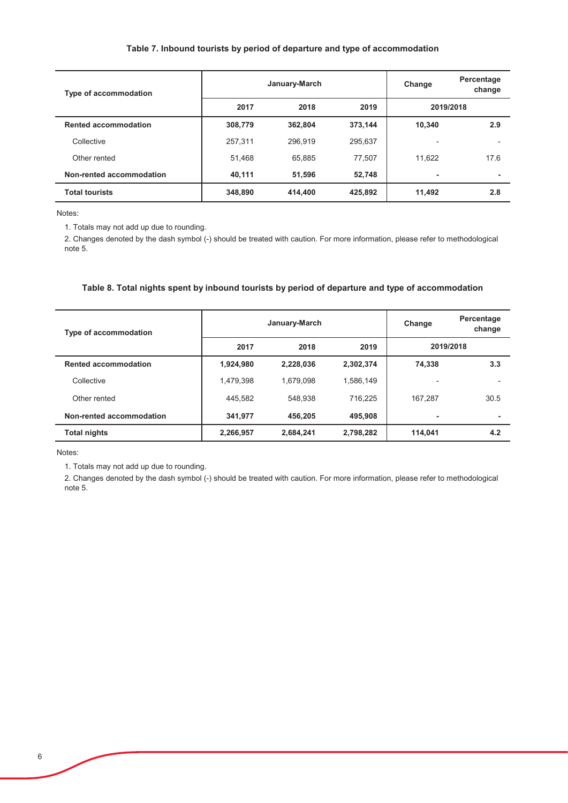#### Table 7. Inbound tourists by period of departure and type of accommodation

| <b>Type of accommodation</b> |         | January-March | Change  | Percentage<br>change |      |
|------------------------------|---------|---------------|---------|----------------------|------|
|                              | 2017    | 2018          | 2019    | 2019/2018            |      |
| <b>Rented accommodation</b>  | 308,779 | 362,804       | 373,144 | 10.340               | 2.9  |
| Collective                   | 257,311 | 296.919       | 295,637 |                      |      |
| Other rented                 | 51.468  | 65.885        | 77,507  | 11.622               | 17.6 |
| Non-rented accommodation     | 40,111  | 51,596        | 52,748  |                      | ۰    |
| <b>Total tourists</b>        | 348,890 | 414,400       | 425,892 | 11,492               | 2.8  |

Notes:

1. Totals may not add up due to rounding.

2. Changes denoted by the dash symbol (-) should be treated with caution. For more information, please refer to methodological note 5.

### Table 8. Total nights spent by inbound tourists by period of departure and type of accommodation

| <b>Type of accommodation</b> |           | January-March | Change    | Percentage<br>change     |      |
|------------------------------|-----------|---------------|-----------|--------------------------|------|
|                              | 2017      | 2018          | 2019      | 2019/2018                |      |
| <b>Rented accommodation</b>  | 1,924,980 | 2,228,036     | 2,302,374 | 74.338                   | 3.3  |
| Collective                   | 1,479,398 | 1.679.098     | 1,586,149 | $\overline{\phantom{0}}$ |      |
| Other rented                 | 445,582   | 548.938       | 716.225   | 167.287                  | 30.5 |
| Non-rented accommodation     | 341,977   | 456.205       | 495,908   |                          | ۰    |
| <b>Total nights</b>          | 2,266,957 | 2.684.241     | 2,798,282 | 114.041                  | 4.2  |

Notes:

1. Totals may not add up due to rounding.

2. Changes denoted by the dash symbol (-) should be treated with caution. For more information, please refer to methodological note 5.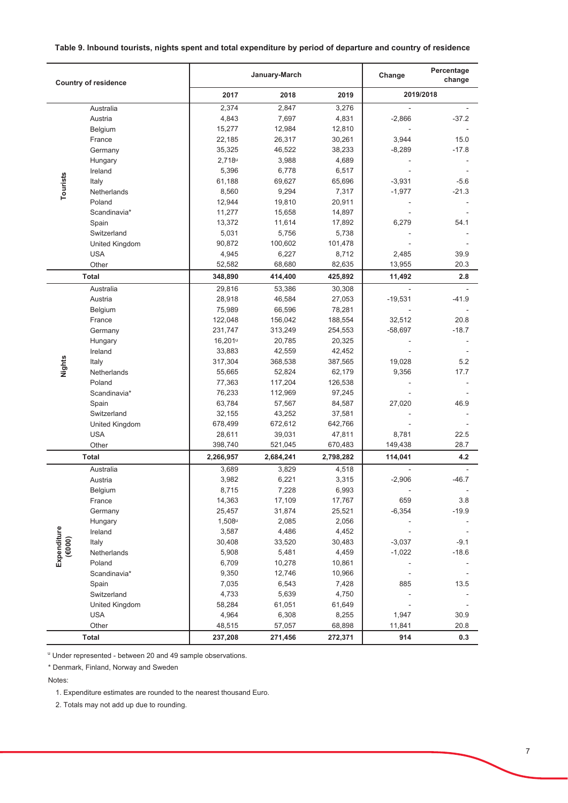### Table 9. Inbound tourists, nights spent and total expenditure by period of departure and country of residence

| <b>Country of residence</b> |                                                                                                                                                                                                                          |                     | January-March   |                  |                 | Percentage<br>change |
|-----------------------------|--------------------------------------------------------------------------------------------------------------------------------------------------------------------------------------------------------------------------|---------------------|-----------------|------------------|-----------------|----------------------|
|                             |                                                                                                                                                                                                                          | 2017                | 2018            | 2019             | 2019/2018       |                      |
|                             | Australia                                                                                                                                                                                                                | 2,374               | 2,847           | 3,276            | ÷,              |                      |
|                             | Austria                                                                                                                                                                                                                  | 4,843               | 7,697           | 4,831            | $-2,866$        | $-37.2$              |
|                             | Belgium                                                                                                                                                                                                                  | 15,277              | 12,984          | 12,810           |                 |                      |
|                             | France                                                                                                                                                                                                                   | 22,185              | 26,317          | 30,261           | 3,944           | 15.0                 |
|                             | Germany                                                                                                                                                                                                                  | 35,325              | 46,522          | 38,233           | $-8,289$        | $-17.8$              |
|                             | Hungary                                                                                                                                                                                                                  | 2,718 <sup>u</sup>  | 3,988           | 4,689            |                 |                      |
|                             | Ireland                                                                                                                                                                                                                  | 5,396               | 6,778           | 6,517            |                 |                      |
| Tourists                    | Italy                                                                                                                                                                                                                    | 61,188              | 69,627          | 65,696           | $-3,931$        | $-5.6$               |
|                             | Netherlands                                                                                                                                                                                                              | 8,560               | 9,294           | 7,317            | $-1,977$        | $-21.3$              |
|                             | Poland                                                                                                                                                                                                                   | 12,944              | 19,810          | 20,911           |                 |                      |
|                             | Scandinavia*                                                                                                                                                                                                             | 11,277              | 15,658          | 14,897           |                 |                      |
|                             | Spain                                                                                                                                                                                                                    | 13,372              | 11,614          | 17,892           | 6,279           | 54.1                 |
|                             | Switzerland                                                                                                                                                                                                              | 5,031               | 5,756           | 5,738            |                 |                      |
|                             | United Kingdom<br><b>USA</b>                                                                                                                                                                                             | 90,872              | 100,602         | 101,478          |                 | 39.9                 |
|                             | Other                                                                                                                                                                                                                    | 4,945<br>52,582     | 6,227<br>68,680 | 8,712<br>82,635  | 2,485<br>13,955 | 20.3                 |
|                             | Total                                                                                                                                                                                                                    | 348,890             | 414,400         | 425,892          | 11,492          | 2.8                  |
|                             | Australia                                                                                                                                                                                                                | 29,816              | 53,386          | 30,308           | ÷.              |                      |
|                             | Austria                                                                                                                                                                                                                  | 28,918              | 46,584          | 27,053           | $-19,531$       | $-41.9$              |
|                             | Belgium                                                                                                                                                                                                                  | 75,989              | 66,596          | 78,281           |                 |                      |
|                             | France                                                                                                                                                                                                                   | 122,048             | 156,042         | 188,554          | 32,512          | 20.8                 |
|                             | Germany                                                                                                                                                                                                                  | 231,747             | 313,249         | 254,553          | $-58,697$       | $-18.7$              |
|                             | Hungary                                                                                                                                                                                                                  | 16,201 <sup>u</sup> | 20,785          | 20,325           |                 |                      |
|                             | Ireland                                                                                                                                                                                                                  | 33,883              | 42,559          | 42,452           |                 |                      |
|                             | Italy                                                                                                                                                                                                                    | 317,304             | 368,538         | 387,565          | 19,028          | 5.2                  |
| Nights                      | Netherlands                                                                                                                                                                                                              | 55,665              | 52,824          | 62,179           | 9,356           | 17.7                 |
|                             | Poland                                                                                                                                                                                                                   | 77,363              | 117,204         | 126,538          |                 |                      |
|                             | Scandinavia*                                                                                                                                                                                                             | 76,233              | 112,969         | 97,245           |                 |                      |
|                             | Spain                                                                                                                                                                                                                    | 63,784              | 57,567          | 84,587           | 27,020          | 46.9                 |
|                             | Switzerland                                                                                                                                                                                                              | 32,155              | 43,252          | 37,581           |                 |                      |
|                             | United Kingdom                                                                                                                                                                                                           | 678,499             | 672,612         | 642,766          |                 |                      |
|                             | <b>USA</b>                                                                                                                                                                                                               | 28,611              | 39,031          | 47,811           | 8,781           | 22.5                 |
|                             | Other                                                                                                                                                                                                                    | 398,740             | 521,045         | 670,483          | 149,438         | 28.7                 |
|                             | Total                                                                                                                                                                                                                    | 2,266,957           | 2,684,241       | 2,798,282        | 114,041         | 4.2                  |
|                             | Australia                                                                                                                                                                                                                | 3,689               | 3,829           | 4,518            |                 |                      |
|                             | Austria                                                                                                                                                                                                                  | 3,982               | 6,221           | 3,315            | $-2,906$        | $-46.7$              |
|                             | Belgium                                                                                                                                                                                                                  | 8,715               | 7,228           | 6,993            |                 |                      |
|                             | France                                                                                                                                                                                                                   | 14,363              | 17,109          | 17,767           | 659             | 3.8                  |
|                             | Germany                                                                                                                                                                                                                  | 25,457              | 31,874          | 25,521           | $-6,354$        | $-19.9$              |
|                             | Hungary                                                                                                                                                                                                                  | $1,508^u$           | 2,085           | 2,056            |                 |                      |
|                             | Ireland                                                                                                                                                                                                                  | 3,587               | 4,486           | 4,452            |                 |                      |
| (6000)                      | Italy                                                                                                                                                                                                                    | 30,408              | 33,520          | 30,483           | $-3,037$        | $-9.1$               |
| Expenditure                 | Netherlands                                                                                                                                                                                                              | 5,908               | 5,481<br>10,278 | 4,459            | $-1,022$        | $-18.6$              |
|                             | Poland<br>Scandinavia*                                                                                                                                                                                                   | 6,709<br>9,350      | 12,746          | 10,861<br>10,966 |                 |                      |
|                             | Spain                                                                                                                                                                                                                    | 7,035               | 6,543           | 7,428            | 885             | 13.5                 |
|                             | Switzerland                                                                                                                                                                                                              | 4,733               | 5,639           | 4,750            |                 |                      |
|                             | United Kingdom                                                                                                                                                                                                           | 58,284              | 61,051          | 61,649           |                 |                      |
|                             | <b>USA</b>                                                                                                                                                                                                               | 4,964               | 6,308           | 8,255            | 1,947           | 30.9                 |
|                             | Other                                                                                                                                                                                                                    | 48,515              | 57,057          | 68,898           | 11,841          | 20.8                 |
|                             | Total                                                                                                                                                                                                                    | 237,208             | 271,456         | 272,371          | 914             | 0.3                  |
| Notes:                      | " Under represented - between 20 and 49 sample observations.<br>* Denmark, Finland, Norway and Sweden<br>1. Expenditure estimates are rounded to the nearest thousand Euro.<br>2. Totals may not add up due to rounding. |                     |                 |                  |                 |                      |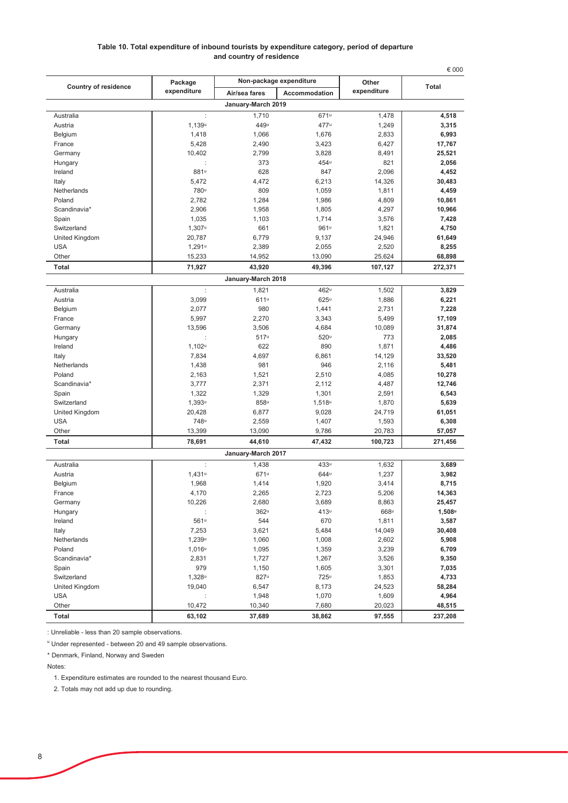#### Table 10. Total expenditure of inbound tourists by expenditure category, period of departure and country of residence

| Non-package expenditure<br><b>Country of residence</b><br>Total<br>expenditure<br>expenditure<br>Air/sea fares<br>Accommodation<br>January-March 2019<br>1,710<br>671u<br>Australia<br>$\ddot{\phantom{a}}$<br>1,478<br>4,518<br>449u<br>Austria<br>1,139u<br>477u<br>1,249<br>3,315<br>1,066<br>1,676<br>2,833<br>6,993<br>Belgium<br>1,418<br>5,428<br>2,490<br>3,423<br>6,427<br>17,767<br>France<br>10,402<br>2,799<br>3,828<br>25,521<br>Germany<br>8,491<br>373<br>454u<br>821<br>2,056<br>Hungary<br>$\ddot{\cdot}$<br>881u<br>628<br>847<br>2,096<br>4,452<br>Ireland<br>4,472<br>6,213<br>14,326<br>30,483<br>Italy<br>5,472<br>780u<br>Netherlands<br>809<br>1,059<br>4,459<br>1,811<br>Poland<br>2,782<br>1,284<br>1,986<br>4,809<br>10,861<br>Scandinavia*<br>2,906<br>1,958<br>1,805<br>4,297<br>10,966<br>1,035<br>1,714<br>3,576<br>7,428<br>Spain<br>1,103<br>Switzerland<br>$1,307$ u<br>661<br>961 <sup>u</sup><br>1,821<br>4,750<br>6,779<br>United Kingdom<br>20,787<br>9,137<br>24,946<br>61,649<br><b>USA</b><br>$1,291$ u<br>2,389<br>2,055<br>2,520<br>8,255<br>15,233<br>25,624<br>68,898<br>Other<br>14,952<br>13,090<br>Total<br>71,927<br>43,920<br>49,396<br>107,127<br>272,371<br>January-March 2018<br>$\ddot{\phantom{a}}$<br>462u<br>1,502<br>Australia<br>1,821<br>3,829<br>611u<br>Austria<br>3,099<br>$625^u$<br>1,886<br>6,221<br>980<br>1,441<br>7,228<br>Belgium<br>2,077<br>2,731<br>5,997<br>2,270<br>3,343<br>5,499<br>17,109<br>France<br>13,596<br>3,506<br>4,684<br>10,089<br>31,874<br>Germany<br>517u<br>520u<br>773<br>2,085<br>Hungary<br>$1,102^u$<br>622<br>890<br>1,871<br>4,486<br>Ireland<br>7,834<br>4,697<br>6,861<br>33,520<br>Italy<br>14,129<br>Netherlands<br>1,438<br>981<br>946<br>2,116<br>5,481<br>Poland<br>1,521<br>2,510<br>4,085<br>10,278<br>2,163<br>Scandinavia*<br>3,777<br>2,371<br>2,112<br>4,487<br>12,746<br>1,322<br>1,329<br>1,301<br>2,591<br>6,543<br>Spain<br>Switzerland<br>1,393 <sup>u</sup><br>858u<br>1,518u<br>5,639<br>1,870<br>6,877<br>United Kingdom<br>20,428<br>9,028<br>24,719<br>61,051<br><b>USA</b><br>748u<br>2,559<br>1,407<br>1,593<br>6,308<br>Other<br>9,786<br>13,399<br>13,090<br>20,783<br>57,057<br>Total<br>78,691<br>44,610<br>100,723<br>47,432<br>271,456<br>January-March 2017<br>433u<br>Australia<br>$\ddot{\phantom{a}}$<br>1,438<br>1,632<br>3,689<br>671u<br>Austria<br>$1,431$ <sup>u</sup><br>644u<br>1,237<br>3,982<br>1,968<br>1,414<br>1,920<br>3,414<br>8,715<br>Belgium<br>4,170<br>2,265<br>2,723<br>5,206<br>14,363<br>France<br>10,226<br>2,680<br>3,689<br>8,863<br>25,457<br>Germany<br>362u<br>413 <sup>u</sup><br>668u<br>$1,508^u$<br>Hungary<br>561 <sup>u</sup><br>544<br>670<br>Ireland<br>1,811<br>3,587<br>3,621<br>5,484<br>14,049<br>Italy<br>7,253<br>30,408<br>Netherlands<br>1,239u<br>1,008<br>1,060<br>2,602<br>5,908<br>Poland<br>6,709<br>$1,016^u$<br>1,095<br>1,359<br>3,239<br>Scandinavia*<br>2,831<br>1,727<br>1,267<br>9,350<br>3,526<br>979<br>7,035<br>Spain<br>1,150<br>1,605<br>3,301<br>Switzerland<br>$1,328^u$<br>827u<br>725u<br>4,733<br>1,853<br>United Kingdom<br>19,040<br>6,547<br>8,173<br>24,523<br>58,284<br><b>USA</b><br>1,070<br>4,964<br>1,948<br>1,609<br>10,472<br>48,515<br>Other<br>10,340<br>7,680<br>20,023 |       |         |        |        | € 000  |         |
|----------------------------------------------------------------------------------------------------------------------------------------------------------------------------------------------------------------------------------------------------------------------------------------------------------------------------------------------------------------------------------------------------------------------------------------------------------------------------------------------------------------------------------------------------------------------------------------------------------------------------------------------------------------------------------------------------------------------------------------------------------------------------------------------------------------------------------------------------------------------------------------------------------------------------------------------------------------------------------------------------------------------------------------------------------------------------------------------------------------------------------------------------------------------------------------------------------------------------------------------------------------------------------------------------------------------------------------------------------------------------------------------------------------------------------------------------------------------------------------------------------------------------------------------------------------------------------------------------------------------------------------------------------------------------------------------------------------------------------------------------------------------------------------------------------------------------------------------------------------------------------------------------------------------------------------------------------------------------------------------------------------------------------------------------------------------------------------------------------------------------------------------------------------------------------------------------------------------------------------------------------------------------------------------------------------------------------------------------------------------------------------------------------------------------------------------------------------------------------------------------------------------------------------------------------------------------------------------------------------------------------------------------------------------------------------------------------------------------------------------------------------------------------------------------------------------------------------------------------------------------------------------------------------------------------------------------------------------------------------------------------------------------------------------------------------------------------------------------------------------------------------------------------------------------------------------------------------------------------------------------------------------------------------------|-------|---------|--------|--------|--------|---------|
|                                                                                                                                                                                                                                                                                                                                                                                                                                                                                                                                                                                                                                                                                                                                                                                                                                                                                                                                                                                                                                                                                                                                                                                                                                                                                                                                                                                                                                                                                                                                                                                                                                                                                                                                                                                                                                                                                                                                                                                                                                                                                                                                                                                                                                                                                                                                                                                                                                                                                                                                                                                                                                                                                                                                                                                                                                                                                                                                                                                                                                                                                                                                                                                                                                                                                              |       | Package |        |        | Other  |         |
|                                                                                                                                                                                                                                                                                                                                                                                                                                                                                                                                                                                                                                                                                                                                                                                                                                                                                                                                                                                                                                                                                                                                                                                                                                                                                                                                                                                                                                                                                                                                                                                                                                                                                                                                                                                                                                                                                                                                                                                                                                                                                                                                                                                                                                                                                                                                                                                                                                                                                                                                                                                                                                                                                                                                                                                                                                                                                                                                                                                                                                                                                                                                                                                                                                                                                              |       |         |        |        |        |         |
|                                                                                                                                                                                                                                                                                                                                                                                                                                                                                                                                                                                                                                                                                                                                                                                                                                                                                                                                                                                                                                                                                                                                                                                                                                                                                                                                                                                                                                                                                                                                                                                                                                                                                                                                                                                                                                                                                                                                                                                                                                                                                                                                                                                                                                                                                                                                                                                                                                                                                                                                                                                                                                                                                                                                                                                                                                                                                                                                                                                                                                                                                                                                                                                                                                                                                              |       |         |        |        |        |         |
|                                                                                                                                                                                                                                                                                                                                                                                                                                                                                                                                                                                                                                                                                                                                                                                                                                                                                                                                                                                                                                                                                                                                                                                                                                                                                                                                                                                                                                                                                                                                                                                                                                                                                                                                                                                                                                                                                                                                                                                                                                                                                                                                                                                                                                                                                                                                                                                                                                                                                                                                                                                                                                                                                                                                                                                                                                                                                                                                                                                                                                                                                                                                                                                                                                                                                              |       |         |        |        |        |         |
|                                                                                                                                                                                                                                                                                                                                                                                                                                                                                                                                                                                                                                                                                                                                                                                                                                                                                                                                                                                                                                                                                                                                                                                                                                                                                                                                                                                                                                                                                                                                                                                                                                                                                                                                                                                                                                                                                                                                                                                                                                                                                                                                                                                                                                                                                                                                                                                                                                                                                                                                                                                                                                                                                                                                                                                                                                                                                                                                                                                                                                                                                                                                                                                                                                                                                              |       |         |        |        |        |         |
|                                                                                                                                                                                                                                                                                                                                                                                                                                                                                                                                                                                                                                                                                                                                                                                                                                                                                                                                                                                                                                                                                                                                                                                                                                                                                                                                                                                                                                                                                                                                                                                                                                                                                                                                                                                                                                                                                                                                                                                                                                                                                                                                                                                                                                                                                                                                                                                                                                                                                                                                                                                                                                                                                                                                                                                                                                                                                                                                                                                                                                                                                                                                                                                                                                                                                              |       |         |        |        |        |         |
|                                                                                                                                                                                                                                                                                                                                                                                                                                                                                                                                                                                                                                                                                                                                                                                                                                                                                                                                                                                                                                                                                                                                                                                                                                                                                                                                                                                                                                                                                                                                                                                                                                                                                                                                                                                                                                                                                                                                                                                                                                                                                                                                                                                                                                                                                                                                                                                                                                                                                                                                                                                                                                                                                                                                                                                                                                                                                                                                                                                                                                                                                                                                                                                                                                                                                              |       |         |        |        |        |         |
|                                                                                                                                                                                                                                                                                                                                                                                                                                                                                                                                                                                                                                                                                                                                                                                                                                                                                                                                                                                                                                                                                                                                                                                                                                                                                                                                                                                                                                                                                                                                                                                                                                                                                                                                                                                                                                                                                                                                                                                                                                                                                                                                                                                                                                                                                                                                                                                                                                                                                                                                                                                                                                                                                                                                                                                                                                                                                                                                                                                                                                                                                                                                                                                                                                                                                              |       |         |        |        |        |         |
|                                                                                                                                                                                                                                                                                                                                                                                                                                                                                                                                                                                                                                                                                                                                                                                                                                                                                                                                                                                                                                                                                                                                                                                                                                                                                                                                                                                                                                                                                                                                                                                                                                                                                                                                                                                                                                                                                                                                                                                                                                                                                                                                                                                                                                                                                                                                                                                                                                                                                                                                                                                                                                                                                                                                                                                                                                                                                                                                                                                                                                                                                                                                                                                                                                                                                              |       |         |        |        |        |         |
|                                                                                                                                                                                                                                                                                                                                                                                                                                                                                                                                                                                                                                                                                                                                                                                                                                                                                                                                                                                                                                                                                                                                                                                                                                                                                                                                                                                                                                                                                                                                                                                                                                                                                                                                                                                                                                                                                                                                                                                                                                                                                                                                                                                                                                                                                                                                                                                                                                                                                                                                                                                                                                                                                                                                                                                                                                                                                                                                                                                                                                                                                                                                                                                                                                                                                              |       |         |        |        |        |         |
|                                                                                                                                                                                                                                                                                                                                                                                                                                                                                                                                                                                                                                                                                                                                                                                                                                                                                                                                                                                                                                                                                                                                                                                                                                                                                                                                                                                                                                                                                                                                                                                                                                                                                                                                                                                                                                                                                                                                                                                                                                                                                                                                                                                                                                                                                                                                                                                                                                                                                                                                                                                                                                                                                                                                                                                                                                                                                                                                                                                                                                                                                                                                                                                                                                                                                              |       |         |        |        |        |         |
|                                                                                                                                                                                                                                                                                                                                                                                                                                                                                                                                                                                                                                                                                                                                                                                                                                                                                                                                                                                                                                                                                                                                                                                                                                                                                                                                                                                                                                                                                                                                                                                                                                                                                                                                                                                                                                                                                                                                                                                                                                                                                                                                                                                                                                                                                                                                                                                                                                                                                                                                                                                                                                                                                                                                                                                                                                                                                                                                                                                                                                                                                                                                                                                                                                                                                              |       |         |        |        |        |         |
|                                                                                                                                                                                                                                                                                                                                                                                                                                                                                                                                                                                                                                                                                                                                                                                                                                                                                                                                                                                                                                                                                                                                                                                                                                                                                                                                                                                                                                                                                                                                                                                                                                                                                                                                                                                                                                                                                                                                                                                                                                                                                                                                                                                                                                                                                                                                                                                                                                                                                                                                                                                                                                                                                                                                                                                                                                                                                                                                                                                                                                                                                                                                                                                                                                                                                              |       |         |        |        |        |         |
|                                                                                                                                                                                                                                                                                                                                                                                                                                                                                                                                                                                                                                                                                                                                                                                                                                                                                                                                                                                                                                                                                                                                                                                                                                                                                                                                                                                                                                                                                                                                                                                                                                                                                                                                                                                                                                                                                                                                                                                                                                                                                                                                                                                                                                                                                                                                                                                                                                                                                                                                                                                                                                                                                                                                                                                                                                                                                                                                                                                                                                                                                                                                                                                                                                                                                              |       |         |        |        |        |         |
|                                                                                                                                                                                                                                                                                                                                                                                                                                                                                                                                                                                                                                                                                                                                                                                                                                                                                                                                                                                                                                                                                                                                                                                                                                                                                                                                                                                                                                                                                                                                                                                                                                                                                                                                                                                                                                                                                                                                                                                                                                                                                                                                                                                                                                                                                                                                                                                                                                                                                                                                                                                                                                                                                                                                                                                                                                                                                                                                                                                                                                                                                                                                                                                                                                                                                              |       |         |        |        |        |         |
|                                                                                                                                                                                                                                                                                                                                                                                                                                                                                                                                                                                                                                                                                                                                                                                                                                                                                                                                                                                                                                                                                                                                                                                                                                                                                                                                                                                                                                                                                                                                                                                                                                                                                                                                                                                                                                                                                                                                                                                                                                                                                                                                                                                                                                                                                                                                                                                                                                                                                                                                                                                                                                                                                                                                                                                                                                                                                                                                                                                                                                                                                                                                                                                                                                                                                              |       |         |        |        |        |         |
|                                                                                                                                                                                                                                                                                                                                                                                                                                                                                                                                                                                                                                                                                                                                                                                                                                                                                                                                                                                                                                                                                                                                                                                                                                                                                                                                                                                                                                                                                                                                                                                                                                                                                                                                                                                                                                                                                                                                                                                                                                                                                                                                                                                                                                                                                                                                                                                                                                                                                                                                                                                                                                                                                                                                                                                                                                                                                                                                                                                                                                                                                                                                                                                                                                                                                              |       |         |        |        |        |         |
|                                                                                                                                                                                                                                                                                                                                                                                                                                                                                                                                                                                                                                                                                                                                                                                                                                                                                                                                                                                                                                                                                                                                                                                                                                                                                                                                                                                                                                                                                                                                                                                                                                                                                                                                                                                                                                                                                                                                                                                                                                                                                                                                                                                                                                                                                                                                                                                                                                                                                                                                                                                                                                                                                                                                                                                                                                                                                                                                                                                                                                                                                                                                                                                                                                                                                              |       |         |        |        |        |         |
|                                                                                                                                                                                                                                                                                                                                                                                                                                                                                                                                                                                                                                                                                                                                                                                                                                                                                                                                                                                                                                                                                                                                                                                                                                                                                                                                                                                                                                                                                                                                                                                                                                                                                                                                                                                                                                                                                                                                                                                                                                                                                                                                                                                                                                                                                                                                                                                                                                                                                                                                                                                                                                                                                                                                                                                                                                                                                                                                                                                                                                                                                                                                                                                                                                                                                              |       |         |        |        |        |         |
|                                                                                                                                                                                                                                                                                                                                                                                                                                                                                                                                                                                                                                                                                                                                                                                                                                                                                                                                                                                                                                                                                                                                                                                                                                                                                                                                                                                                                                                                                                                                                                                                                                                                                                                                                                                                                                                                                                                                                                                                                                                                                                                                                                                                                                                                                                                                                                                                                                                                                                                                                                                                                                                                                                                                                                                                                                                                                                                                                                                                                                                                                                                                                                                                                                                                                              |       |         |        |        |        |         |
|                                                                                                                                                                                                                                                                                                                                                                                                                                                                                                                                                                                                                                                                                                                                                                                                                                                                                                                                                                                                                                                                                                                                                                                                                                                                                                                                                                                                                                                                                                                                                                                                                                                                                                                                                                                                                                                                                                                                                                                                                                                                                                                                                                                                                                                                                                                                                                                                                                                                                                                                                                                                                                                                                                                                                                                                                                                                                                                                                                                                                                                                                                                                                                                                                                                                                              |       |         |        |        |        |         |
|                                                                                                                                                                                                                                                                                                                                                                                                                                                                                                                                                                                                                                                                                                                                                                                                                                                                                                                                                                                                                                                                                                                                                                                                                                                                                                                                                                                                                                                                                                                                                                                                                                                                                                                                                                                                                                                                                                                                                                                                                                                                                                                                                                                                                                                                                                                                                                                                                                                                                                                                                                                                                                                                                                                                                                                                                                                                                                                                                                                                                                                                                                                                                                                                                                                                                              |       |         |        |        |        |         |
|                                                                                                                                                                                                                                                                                                                                                                                                                                                                                                                                                                                                                                                                                                                                                                                                                                                                                                                                                                                                                                                                                                                                                                                                                                                                                                                                                                                                                                                                                                                                                                                                                                                                                                                                                                                                                                                                                                                                                                                                                                                                                                                                                                                                                                                                                                                                                                                                                                                                                                                                                                                                                                                                                                                                                                                                                                                                                                                                                                                                                                                                                                                                                                                                                                                                                              |       |         |        |        |        |         |
|                                                                                                                                                                                                                                                                                                                                                                                                                                                                                                                                                                                                                                                                                                                                                                                                                                                                                                                                                                                                                                                                                                                                                                                                                                                                                                                                                                                                                                                                                                                                                                                                                                                                                                                                                                                                                                                                                                                                                                                                                                                                                                                                                                                                                                                                                                                                                                                                                                                                                                                                                                                                                                                                                                                                                                                                                                                                                                                                                                                                                                                                                                                                                                                                                                                                                              |       |         |        |        |        |         |
|                                                                                                                                                                                                                                                                                                                                                                                                                                                                                                                                                                                                                                                                                                                                                                                                                                                                                                                                                                                                                                                                                                                                                                                                                                                                                                                                                                                                                                                                                                                                                                                                                                                                                                                                                                                                                                                                                                                                                                                                                                                                                                                                                                                                                                                                                                                                                                                                                                                                                                                                                                                                                                                                                                                                                                                                                                                                                                                                                                                                                                                                                                                                                                                                                                                                                              |       |         |        |        |        |         |
|                                                                                                                                                                                                                                                                                                                                                                                                                                                                                                                                                                                                                                                                                                                                                                                                                                                                                                                                                                                                                                                                                                                                                                                                                                                                                                                                                                                                                                                                                                                                                                                                                                                                                                                                                                                                                                                                                                                                                                                                                                                                                                                                                                                                                                                                                                                                                                                                                                                                                                                                                                                                                                                                                                                                                                                                                                                                                                                                                                                                                                                                                                                                                                                                                                                                                              |       |         |        |        |        |         |
|                                                                                                                                                                                                                                                                                                                                                                                                                                                                                                                                                                                                                                                                                                                                                                                                                                                                                                                                                                                                                                                                                                                                                                                                                                                                                                                                                                                                                                                                                                                                                                                                                                                                                                                                                                                                                                                                                                                                                                                                                                                                                                                                                                                                                                                                                                                                                                                                                                                                                                                                                                                                                                                                                                                                                                                                                                                                                                                                                                                                                                                                                                                                                                                                                                                                                              |       |         |        |        |        |         |
|                                                                                                                                                                                                                                                                                                                                                                                                                                                                                                                                                                                                                                                                                                                                                                                                                                                                                                                                                                                                                                                                                                                                                                                                                                                                                                                                                                                                                                                                                                                                                                                                                                                                                                                                                                                                                                                                                                                                                                                                                                                                                                                                                                                                                                                                                                                                                                                                                                                                                                                                                                                                                                                                                                                                                                                                                                                                                                                                                                                                                                                                                                                                                                                                                                                                                              |       |         |        |        |        |         |
|                                                                                                                                                                                                                                                                                                                                                                                                                                                                                                                                                                                                                                                                                                                                                                                                                                                                                                                                                                                                                                                                                                                                                                                                                                                                                                                                                                                                                                                                                                                                                                                                                                                                                                                                                                                                                                                                                                                                                                                                                                                                                                                                                                                                                                                                                                                                                                                                                                                                                                                                                                                                                                                                                                                                                                                                                                                                                                                                                                                                                                                                                                                                                                                                                                                                                              |       |         |        |        |        |         |
|                                                                                                                                                                                                                                                                                                                                                                                                                                                                                                                                                                                                                                                                                                                                                                                                                                                                                                                                                                                                                                                                                                                                                                                                                                                                                                                                                                                                                                                                                                                                                                                                                                                                                                                                                                                                                                                                                                                                                                                                                                                                                                                                                                                                                                                                                                                                                                                                                                                                                                                                                                                                                                                                                                                                                                                                                                                                                                                                                                                                                                                                                                                                                                                                                                                                                              |       |         |        |        |        |         |
|                                                                                                                                                                                                                                                                                                                                                                                                                                                                                                                                                                                                                                                                                                                                                                                                                                                                                                                                                                                                                                                                                                                                                                                                                                                                                                                                                                                                                                                                                                                                                                                                                                                                                                                                                                                                                                                                                                                                                                                                                                                                                                                                                                                                                                                                                                                                                                                                                                                                                                                                                                                                                                                                                                                                                                                                                                                                                                                                                                                                                                                                                                                                                                                                                                                                                              |       |         |        |        |        |         |
|                                                                                                                                                                                                                                                                                                                                                                                                                                                                                                                                                                                                                                                                                                                                                                                                                                                                                                                                                                                                                                                                                                                                                                                                                                                                                                                                                                                                                                                                                                                                                                                                                                                                                                                                                                                                                                                                                                                                                                                                                                                                                                                                                                                                                                                                                                                                                                                                                                                                                                                                                                                                                                                                                                                                                                                                                                                                                                                                                                                                                                                                                                                                                                                                                                                                                              |       |         |        |        |        |         |
|                                                                                                                                                                                                                                                                                                                                                                                                                                                                                                                                                                                                                                                                                                                                                                                                                                                                                                                                                                                                                                                                                                                                                                                                                                                                                                                                                                                                                                                                                                                                                                                                                                                                                                                                                                                                                                                                                                                                                                                                                                                                                                                                                                                                                                                                                                                                                                                                                                                                                                                                                                                                                                                                                                                                                                                                                                                                                                                                                                                                                                                                                                                                                                                                                                                                                              |       |         |        |        |        |         |
|                                                                                                                                                                                                                                                                                                                                                                                                                                                                                                                                                                                                                                                                                                                                                                                                                                                                                                                                                                                                                                                                                                                                                                                                                                                                                                                                                                                                                                                                                                                                                                                                                                                                                                                                                                                                                                                                                                                                                                                                                                                                                                                                                                                                                                                                                                                                                                                                                                                                                                                                                                                                                                                                                                                                                                                                                                                                                                                                                                                                                                                                                                                                                                                                                                                                                              |       |         |        |        |        |         |
|                                                                                                                                                                                                                                                                                                                                                                                                                                                                                                                                                                                                                                                                                                                                                                                                                                                                                                                                                                                                                                                                                                                                                                                                                                                                                                                                                                                                                                                                                                                                                                                                                                                                                                                                                                                                                                                                                                                                                                                                                                                                                                                                                                                                                                                                                                                                                                                                                                                                                                                                                                                                                                                                                                                                                                                                                                                                                                                                                                                                                                                                                                                                                                                                                                                                                              |       |         |        |        |        |         |
|                                                                                                                                                                                                                                                                                                                                                                                                                                                                                                                                                                                                                                                                                                                                                                                                                                                                                                                                                                                                                                                                                                                                                                                                                                                                                                                                                                                                                                                                                                                                                                                                                                                                                                                                                                                                                                                                                                                                                                                                                                                                                                                                                                                                                                                                                                                                                                                                                                                                                                                                                                                                                                                                                                                                                                                                                                                                                                                                                                                                                                                                                                                                                                                                                                                                                              |       |         |        |        |        |         |
|                                                                                                                                                                                                                                                                                                                                                                                                                                                                                                                                                                                                                                                                                                                                                                                                                                                                                                                                                                                                                                                                                                                                                                                                                                                                                                                                                                                                                                                                                                                                                                                                                                                                                                                                                                                                                                                                                                                                                                                                                                                                                                                                                                                                                                                                                                                                                                                                                                                                                                                                                                                                                                                                                                                                                                                                                                                                                                                                                                                                                                                                                                                                                                                                                                                                                              |       |         |        |        |        |         |
|                                                                                                                                                                                                                                                                                                                                                                                                                                                                                                                                                                                                                                                                                                                                                                                                                                                                                                                                                                                                                                                                                                                                                                                                                                                                                                                                                                                                                                                                                                                                                                                                                                                                                                                                                                                                                                                                                                                                                                                                                                                                                                                                                                                                                                                                                                                                                                                                                                                                                                                                                                                                                                                                                                                                                                                                                                                                                                                                                                                                                                                                                                                                                                                                                                                                                              |       |         |        |        |        |         |
|                                                                                                                                                                                                                                                                                                                                                                                                                                                                                                                                                                                                                                                                                                                                                                                                                                                                                                                                                                                                                                                                                                                                                                                                                                                                                                                                                                                                                                                                                                                                                                                                                                                                                                                                                                                                                                                                                                                                                                                                                                                                                                                                                                                                                                                                                                                                                                                                                                                                                                                                                                                                                                                                                                                                                                                                                                                                                                                                                                                                                                                                                                                                                                                                                                                                                              |       |         |        |        |        |         |
|                                                                                                                                                                                                                                                                                                                                                                                                                                                                                                                                                                                                                                                                                                                                                                                                                                                                                                                                                                                                                                                                                                                                                                                                                                                                                                                                                                                                                                                                                                                                                                                                                                                                                                                                                                                                                                                                                                                                                                                                                                                                                                                                                                                                                                                                                                                                                                                                                                                                                                                                                                                                                                                                                                                                                                                                                                                                                                                                                                                                                                                                                                                                                                                                                                                                                              |       |         |        |        |        |         |
|                                                                                                                                                                                                                                                                                                                                                                                                                                                                                                                                                                                                                                                                                                                                                                                                                                                                                                                                                                                                                                                                                                                                                                                                                                                                                                                                                                                                                                                                                                                                                                                                                                                                                                                                                                                                                                                                                                                                                                                                                                                                                                                                                                                                                                                                                                                                                                                                                                                                                                                                                                                                                                                                                                                                                                                                                                                                                                                                                                                                                                                                                                                                                                                                                                                                                              |       |         |        |        |        |         |
|                                                                                                                                                                                                                                                                                                                                                                                                                                                                                                                                                                                                                                                                                                                                                                                                                                                                                                                                                                                                                                                                                                                                                                                                                                                                                                                                                                                                                                                                                                                                                                                                                                                                                                                                                                                                                                                                                                                                                                                                                                                                                                                                                                                                                                                                                                                                                                                                                                                                                                                                                                                                                                                                                                                                                                                                                                                                                                                                                                                                                                                                                                                                                                                                                                                                                              |       |         |        |        |        |         |
|                                                                                                                                                                                                                                                                                                                                                                                                                                                                                                                                                                                                                                                                                                                                                                                                                                                                                                                                                                                                                                                                                                                                                                                                                                                                                                                                                                                                                                                                                                                                                                                                                                                                                                                                                                                                                                                                                                                                                                                                                                                                                                                                                                                                                                                                                                                                                                                                                                                                                                                                                                                                                                                                                                                                                                                                                                                                                                                                                                                                                                                                                                                                                                                                                                                                                              |       |         |        |        |        |         |
|                                                                                                                                                                                                                                                                                                                                                                                                                                                                                                                                                                                                                                                                                                                                                                                                                                                                                                                                                                                                                                                                                                                                                                                                                                                                                                                                                                                                                                                                                                                                                                                                                                                                                                                                                                                                                                                                                                                                                                                                                                                                                                                                                                                                                                                                                                                                                                                                                                                                                                                                                                                                                                                                                                                                                                                                                                                                                                                                                                                                                                                                                                                                                                                                                                                                                              |       |         |        |        |        |         |
|                                                                                                                                                                                                                                                                                                                                                                                                                                                                                                                                                                                                                                                                                                                                                                                                                                                                                                                                                                                                                                                                                                                                                                                                                                                                                                                                                                                                                                                                                                                                                                                                                                                                                                                                                                                                                                                                                                                                                                                                                                                                                                                                                                                                                                                                                                                                                                                                                                                                                                                                                                                                                                                                                                                                                                                                                                                                                                                                                                                                                                                                                                                                                                                                                                                                                              |       |         |        |        |        |         |
|                                                                                                                                                                                                                                                                                                                                                                                                                                                                                                                                                                                                                                                                                                                                                                                                                                                                                                                                                                                                                                                                                                                                                                                                                                                                                                                                                                                                                                                                                                                                                                                                                                                                                                                                                                                                                                                                                                                                                                                                                                                                                                                                                                                                                                                                                                                                                                                                                                                                                                                                                                                                                                                                                                                                                                                                                                                                                                                                                                                                                                                                                                                                                                                                                                                                                              |       |         |        |        |        |         |
|                                                                                                                                                                                                                                                                                                                                                                                                                                                                                                                                                                                                                                                                                                                                                                                                                                                                                                                                                                                                                                                                                                                                                                                                                                                                                                                                                                                                                                                                                                                                                                                                                                                                                                                                                                                                                                                                                                                                                                                                                                                                                                                                                                                                                                                                                                                                                                                                                                                                                                                                                                                                                                                                                                                                                                                                                                                                                                                                                                                                                                                                                                                                                                                                                                                                                              |       |         |        |        |        |         |
|                                                                                                                                                                                                                                                                                                                                                                                                                                                                                                                                                                                                                                                                                                                                                                                                                                                                                                                                                                                                                                                                                                                                                                                                                                                                                                                                                                                                                                                                                                                                                                                                                                                                                                                                                                                                                                                                                                                                                                                                                                                                                                                                                                                                                                                                                                                                                                                                                                                                                                                                                                                                                                                                                                                                                                                                                                                                                                                                                                                                                                                                                                                                                                                                                                                                                              |       |         |        |        |        |         |
|                                                                                                                                                                                                                                                                                                                                                                                                                                                                                                                                                                                                                                                                                                                                                                                                                                                                                                                                                                                                                                                                                                                                                                                                                                                                                                                                                                                                                                                                                                                                                                                                                                                                                                                                                                                                                                                                                                                                                                                                                                                                                                                                                                                                                                                                                                                                                                                                                                                                                                                                                                                                                                                                                                                                                                                                                                                                                                                                                                                                                                                                                                                                                                                                                                                                                              |       |         |        |        |        |         |
|                                                                                                                                                                                                                                                                                                                                                                                                                                                                                                                                                                                                                                                                                                                                                                                                                                                                                                                                                                                                                                                                                                                                                                                                                                                                                                                                                                                                                                                                                                                                                                                                                                                                                                                                                                                                                                                                                                                                                                                                                                                                                                                                                                                                                                                                                                                                                                                                                                                                                                                                                                                                                                                                                                                                                                                                                                                                                                                                                                                                                                                                                                                                                                                                                                                                                              |       |         |        |        |        |         |
|                                                                                                                                                                                                                                                                                                                                                                                                                                                                                                                                                                                                                                                                                                                                                                                                                                                                                                                                                                                                                                                                                                                                                                                                                                                                                                                                                                                                                                                                                                                                                                                                                                                                                                                                                                                                                                                                                                                                                                                                                                                                                                                                                                                                                                                                                                                                                                                                                                                                                                                                                                                                                                                                                                                                                                                                                                                                                                                                                                                                                                                                                                                                                                                                                                                                                              |       |         |        |        |        |         |
|                                                                                                                                                                                                                                                                                                                                                                                                                                                                                                                                                                                                                                                                                                                                                                                                                                                                                                                                                                                                                                                                                                                                                                                                                                                                                                                                                                                                                                                                                                                                                                                                                                                                                                                                                                                                                                                                                                                                                                                                                                                                                                                                                                                                                                                                                                                                                                                                                                                                                                                                                                                                                                                                                                                                                                                                                                                                                                                                                                                                                                                                                                                                                                                                                                                                                              |       |         |        |        |        |         |
|                                                                                                                                                                                                                                                                                                                                                                                                                                                                                                                                                                                                                                                                                                                                                                                                                                                                                                                                                                                                                                                                                                                                                                                                                                                                                                                                                                                                                                                                                                                                                                                                                                                                                                                                                                                                                                                                                                                                                                                                                                                                                                                                                                                                                                                                                                                                                                                                                                                                                                                                                                                                                                                                                                                                                                                                                                                                                                                                                                                                                                                                                                                                                                                                                                                                                              |       |         |        |        |        |         |
|                                                                                                                                                                                                                                                                                                                                                                                                                                                                                                                                                                                                                                                                                                                                                                                                                                                                                                                                                                                                                                                                                                                                                                                                                                                                                                                                                                                                                                                                                                                                                                                                                                                                                                                                                                                                                                                                                                                                                                                                                                                                                                                                                                                                                                                                                                                                                                                                                                                                                                                                                                                                                                                                                                                                                                                                                                                                                                                                                                                                                                                                                                                                                                                                                                                                                              | Total | 63,102  | 37,689 | 38,862 | 97,555 | 237,208 |

: Unreliable - less than 20 sample observations.

" Under represented - between 20 and 49 sample observations.

\* Denmark, Finland, Norway and Sweden

Notes:

1. Expenditure estimates are rounded to the nearest thousand Euro.

2. Totals may not add up due to rounding.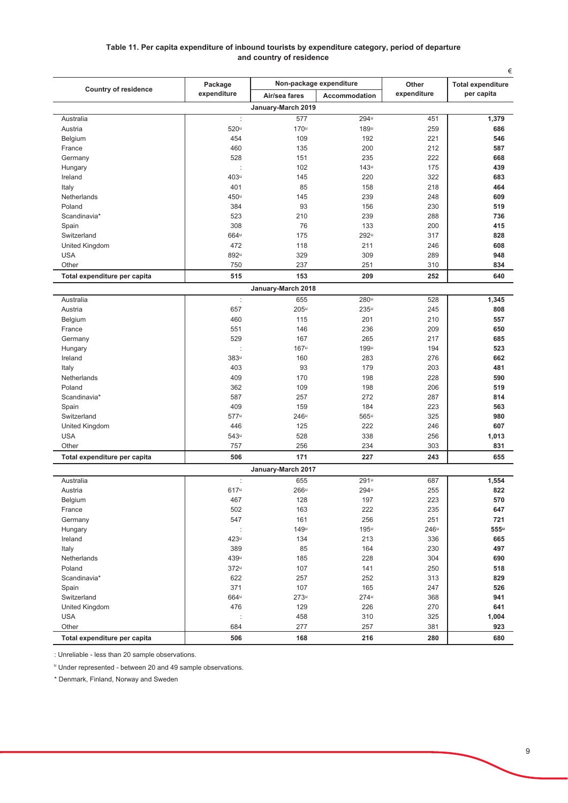### Table 11. Per capita expenditure of inbound tourists by expenditure category, period of departure and country of residence

|                              | Package          |                    | Non-package expenditure | Other       | €<br><b>Total expenditure</b> |
|------------------------------|------------------|--------------------|-------------------------|-------------|-------------------------------|
| <b>Country of residence</b>  | expenditure      | Air/sea fares      | <b>Accommodation</b>    | expenditure | per capita                    |
|                              |                  | January-March 2019 |                         |             |                               |
| Australia                    | ÷                | 577                | 294u                    | 451         | 1,379                         |
| Austria                      | 520u             | 170u               | 189u                    | 259         | 686                           |
| Belgium                      | 454              | 109                | 192                     | 221         | 546                           |
| France                       | 460              | 135                | 200                     | 212         | 587                           |
| Germany                      | 528              | 151                | 235                     | 222         | 668                           |
| Hungary                      |                  | 102                | 143 <sup>u</sup>        | 175         | 439                           |
| Ireland                      | 403u             | 145                | 220                     | 322         | 683                           |
| Italy                        | 401              | 85                 | 158                     | 218         | 464                           |
| Netherlands                  | 450u             | 145                | 239                     | 248         | 609                           |
| Poland                       | 384              | 93                 | 156                     | 230         | 519                           |
| Scandinavia*                 | 523              | 210                | 239                     | 288         | 736                           |
| Spain                        | 308              | 76                 | 133                     | 200         | 415                           |
| Switzerland                  | 664u             | 175                | 292u                    | 317         | 828                           |
| United Kingdom               | 472              | 118                | 211                     | 246         | 608                           |
| USA                          | 892u             | 329                | 309                     | 289         | 948                           |
| Other                        | 750              | 237                | 251                     | 310         | 834                           |
| Total expenditure per capita | 515              | 153                | 209                     | 252         | 640                           |
|                              |                  | January-March 2018 |                         |             |                               |
| Australia                    | ÷                | 655                | 280u                    | 528         | 1,345                         |
| Austria                      | 657              | $205^{\mathrm{u}}$ | 235 <sup>u</sup>        | 245         | 808                           |
| Belgium                      | 460              | 115                | 201                     | 210         | 557                           |
| France                       | 551              | 146                | 236                     | 209         | 650                           |
| Germany                      | 529              | 167                | 265                     | 217         | 685                           |
| Hungary                      |                  | 167u               | 199u                    | 194         | 523                           |
| Ireland                      | 383u             | 160                | 283                     | 276         | 662                           |
| Italy                        | 403              | 93                 | 179                     | 203         | 481                           |
| Netherlands                  | 409              | 170                | 198                     | 228         | 590                           |
| Poland                       | 362              | 109                | 198                     | 206         | 519                           |
| Scandinavia*                 | 587              | 257                | 272                     | 287         | 814                           |
| Spain                        | 409              | 159                | 184                     | 223         | 563                           |
| Switzerland                  | 577u             | $246^{\mathrm{u}}$ | 565u                    | 325         | 980                           |
| United Kingdom               | 446              | 125                | 222                     | 246         | 607                           |
| <b>USA</b>                   | 543u             | 528                | 338                     | 256         | 1,013                         |
| Other                        | 757              | 256                | 234                     | 303         | 831                           |
| Total expenditure per capita | 506              | 171                | 227                     | 243         | 655                           |
|                              |                  | January-March 2017 |                         |             |                               |
| Australia                    | ÷                | 655                | 291u                    | 687         | 1,554                         |
| Austria                      | 617u             | 266u               | 294u                    | 255         | 822                           |
| Belgium                      | 467              | 128                | 197                     | 223         | 570                           |
| France                       | 502              | 163                | 222                     | 235         | 647                           |
|                              | 547              | 161                | 256                     | 251         | 721                           |
| Germany<br>Hungary           | ÷                | 149u               | $195^u$                 | 246u        | $555^{\rm u}$                 |
|                              |                  |                    |                         |             |                               |
| Ireland                      | 423 <sup>u</sup> | 134                | 213                     | 336         | 665                           |
| Italy                        | 389              | 85                 | 164                     | 230         | 497                           |
| Netherlands<br>Poland        | 439u             | 185                | 228                     | 304         | 690                           |
|                              | 372 <sup>u</sup> | 107                | 141                     | 250         | 518                           |
| Scandinavia*                 | 622              | 257                | 252                     | 313         | 829                           |
| Spain                        | 371              | 107                | 165                     | 247         | 526                           |
| Switzerland                  | 664 <sup>u</sup> | 273 <sup>u</sup>   | $274^u$                 | 368         | 941                           |
| United Kingdom               | 476              | 129                | 226                     | 270         | 641                           |
| <b>USA</b>                   |                  | 458                | 310                     | 325         | 1,004                         |
| Other                        | 684              | 277                | 257                     | 381         | 923                           |
| Total expenditure per capita | 506              | 168                | 216                     | 280         | 680                           |

: Unreliable - less than 20 sample observations.

" Under represented - between 20 and 49 sample observations.

\* Denmark, Finland, Norway and Sweden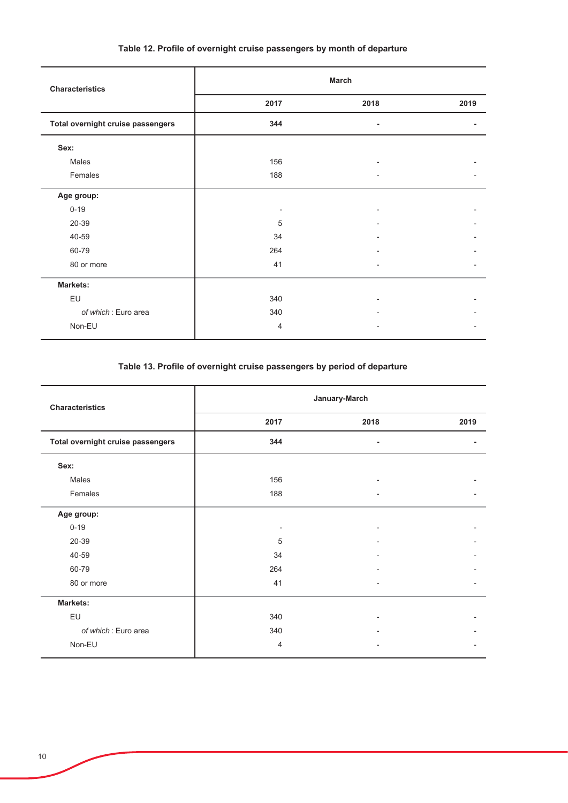## Table 12. Profile of overnight cruise passengers by month of departure

| <b>Characteristics</b>            | <b>March</b> |                          |      |
|-----------------------------------|--------------|--------------------------|------|
|                                   | 2017         | 2018                     | 2019 |
| Total overnight cruise passengers | 344          |                          |      |
| Sex:                              |              |                          |      |
| Males                             | 156          |                          |      |
| Females                           | 188          |                          |      |
| Age group:                        |              |                          |      |
| $0 - 19$                          |              |                          |      |
| 20-39                             | 5            |                          |      |
| 40-59                             | 34           |                          |      |
| 60-79                             | 264          |                          |      |
| 80 or more                        | 41           | $\overline{\phantom{a}}$ |      |
| <b>Markets:</b>                   |              |                          |      |
| EU                                | 340          |                          |      |
| of which: Euro area               | 340          |                          |      |
| Non-EU                            | 4            |                          |      |

## Table 13. Profile of overnight cruise passengers by period of departure

| <b>Characteristics</b>            | January-March  |                          |      |
|-----------------------------------|----------------|--------------------------|------|
|                                   | 2017           | 2018                     | 2019 |
| Total overnight cruise passengers | 344            |                          |      |
| Sex:                              |                |                          |      |
| Males                             | 156            |                          |      |
| Females                           | 188            |                          |      |
| Age group:                        |                |                          |      |
| $0 - 19$                          |                |                          |      |
| 20-39                             | 5              |                          |      |
| 40-59                             | 34             | $\overline{\phantom{0}}$ |      |
| 60-79                             | 264            |                          |      |
| 80 or more                        | 41             | ٠                        |      |
| <b>Markets:</b>                   |                |                          |      |
| EU                                | 340            |                          |      |
| of which: Euro area               | 340            |                          |      |
| Non-EU                            | $\overline{4}$ |                          |      |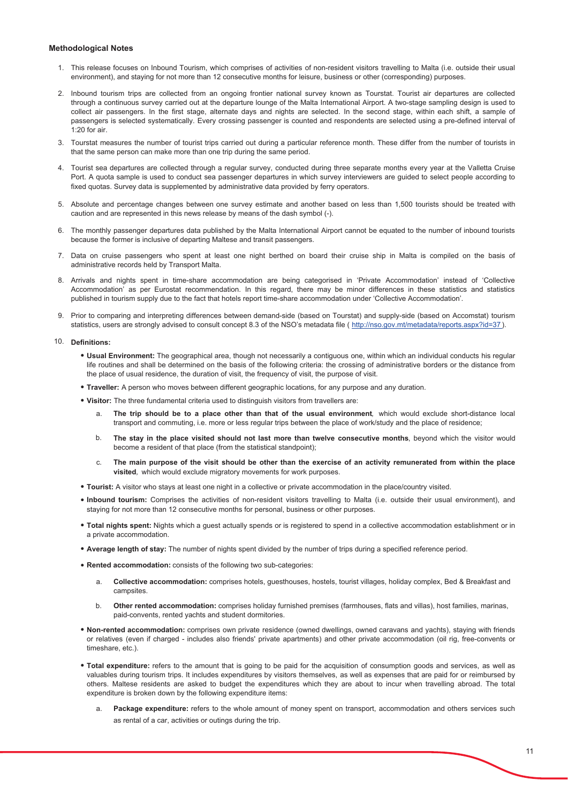#### **Methodological Notes**

- 1. This release focuses on Inbound Tourism, which comprises of activities of non-resident visitors travelling to Malta (i.e. outside their usual environment), and staying for not more than 12 consecutive months for leisure, business or other (corresponding) purposes.
- 2. Inbound tourism trips are collected from an ongoing frontier national survey known as Tourstat. Tourist air departures are collected through a continuous survey carried out at the departure lounge of the Malta International Airport. A two-stage sampling design is used to collect air passengers. In the first stage, alternate days and nights are selected. In the second stage, within each shift, a sample of passengers is selected systematically. Every crossing passenger is counted and respondents are selected using a pre-defined interval of  $1.20$  for air
- 3. Tourstat measures the number of tourist trips carried out during a particular reference month. These differ from the number of tourists in that the same person can make more than one trip during the same period.
- 4. Tourist sea departures are collected through a regular survey, conducted during three separate months every year at the Valletta Cruise Port. A quota sample is used to conduct sea passenger departures in which survey interviewers are guided to select people according to fixed quotas. Survey data is supplemented by administrative data provided by ferry operators.
- 5. Absolute and percentage changes between one survey estimate and another based on less than 1,500 tourists should be treated with caution and are represented in this news release by means of the dash symbol (-).
- 6. The monthly passenger departures data published by the Malta International Airport cannot be equated to the number of inbound tourists because the former is inclusive of departing Maltese and transit passengers
- 7. Data on cruise passengers who spent at least one night berthed on board their cruise ship in Malta is compiled on the basis of administrative records held by Transport Malta.
- 8. Arrivals and nights spent in time-share accommodation are being categorised in 'Private Accommodation' instead of 'Collective Accommodation' as per Eurostat recommendation. In this regard, there may be minor differences in these statistics and statistics published in tourism supply due to the fact that hotels report time-share accommodation under 'Collective Accommodation'.
- 9. Prior to comparing and interpreting differences between demand-side (based on Tourstat) and supply-side (based on Accomstat) tourism statistics, users are strongly advised to consult concept 8.3 of the NSO's metadata file (http://nso.gov.mt/metadata/reports.aspx?id=37).

#### 10. Definitions:

- . Usual Environment: The geographical area, though not necessarily a contiguous one, within which an individual conducts his regular life routines and shall be determined on the basis of the following criteria: the crossing of administrative borders or the distance from the place of usual residence, the duration of visit, the frequency of visit, the purpose of visit.
- . Traveller: A person who moves between different geographic locations, for any purpose and any duration.
- . Visitor: The three fundamental criteria used to distinguish visitors from travellers are:
	- $\mathbf{a}$ The trip should be to a place other than that of the usual environment, which would exclude short-distance local transport and commuting, i.e. more or less regular trips between the place of work/study and the place of residence;
	- The stay in the place visited should not last more than twelve consecutive months, beyond which the visitor would  $b$ become a resident of that place (from the statistical standpoint);
	- The main purpose of the visit should be other than the exercise of an activity remunerated from within the place  $\mathbf{c}$ visited, which would exclude migratory movements for work purposes.
- . Tourist: A visitor who stays at least one night in a collective or private accommodation in the place/country visited.
- . Inbound tourism: Comprises the activities of non-resident visitors travelling to Malta (i.e. outside their usual environment), and staying for not more than 12 consecutive months for personal, business or other purposes.
- . Total nights spent: Nights which a quest actually spends or is registered to spend in a collective accommodation establishment or in a private accommodation.
- . Average length of stay: The number of nights spent divided by the number of trips during a specified reference period.
- . Rented accommodation: consists of the following two sub-categories:
	- Collective accommodation: comprises hotels, questhouses, hostels, tourist villages, holiday complex, Bed & Breakfast and  $\mathbf{a}$ campsites.
	- Other rented accommodation: comprises holiday furnished premises (farmhouses, flats and villas), host families, marinas, <sub>b</sub> paid-convents, rented yachts and student dormitories.
- . Non-rented accommodation: comprises own private residence (owned dwellings, owned caravans and yachts), staying with friends or relatives (even if charged - includes also friends' private apartments) and other private accommodation (oil rig, free-convents or timeshare, etc.).
- . Total expenditure: refers to the amount that is going to be paid for the acquisition of consumption goods and services, as well as valuables during tourism trips. It includes expenditures by visitors themselves, as well as expenses that are paid for or reimbursed by others. Maltese residents are asked to budget the expenditures which they are about to incur when travelling abroad. The total expenditure is broken down by the following expenditure items:
	- Package expenditure: refers to the whole amount of money spent on transport, accommodation and others services such as rental of a car, activities or outings during the trip.